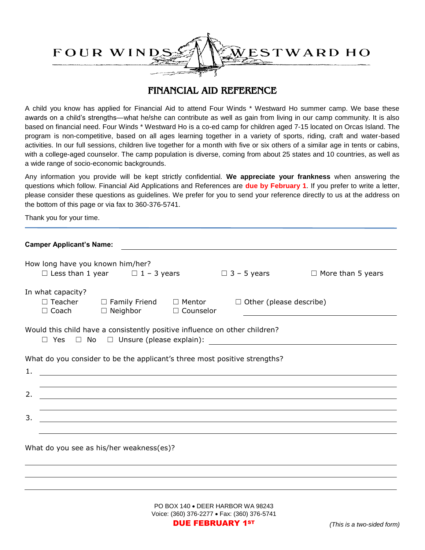

## FINANCIAL AID REFERENCE

A child you know has applied for Financial Aid to attend Four Winds \* Westward Ho summer camp. We base these awards on a child's strengths—what he/she can contribute as well as gain from living in our camp community. It is also based on financial need. Four Winds \* Westward Ho is a co-ed camp for children aged 7-15 located on Orcas Island. The program is non-competitive, based on all ages learning together in a variety of sports, riding, craft and water-based activities. In our full sessions, children live together for a month with five or six others of a similar age in tents or cabins, with a college-aged counselor. The camp population is diverse, coming from about 25 states and 10 countries, as well as a wide range of socio-economic backgrounds.

Any information you provide will be kept strictly confidential. **We appreciate your frankness** when answering the questions which follow. Financial Aid Applications and References are **due by February 1**. If you prefer to write a letter, please consider these questions as guidelines. We prefer for you to send your reference directly to us at the address on the bottom of this page or via fax to 360-376-5741.

Thank you for your time.

| <b>Camper Applicant's Name:</b>                                                                                             |                                                                                                                                   |  |  |  |  |  |  |
|-----------------------------------------------------------------------------------------------------------------------------|-----------------------------------------------------------------------------------------------------------------------------------|--|--|--|--|--|--|
| How long have you known him/her?<br>□ Less than 1 year $\Box$ 1 - 3 years $\Box$ 3 - 5 years $\Box$ More than 5 years       |                                                                                                                                   |  |  |  |  |  |  |
| In what capacity?                                                                                                           |                                                                                                                                   |  |  |  |  |  |  |
|                                                                                                                             | $\Box$ Teacher $\Box$ Family Friend $\Box$ Mentor $\Box$ Other (please describe)<br>$\Box$ Coach $\Box$ Neighbor $\Box$ Counselor |  |  |  |  |  |  |
| Would this child have a consistently positive influence on other children?                                                  |                                                                                                                                   |  |  |  |  |  |  |
| What do you consider to be the applicant's three most positive strengths?                                                   |                                                                                                                                   |  |  |  |  |  |  |
| 1.<br><u> 1980 - Jan Samuel Barbara, margaret e seu a contrador de la contrador de la contrador de la contrador de la c</u> |                                                                                                                                   |  |  |  |  |  |  |
|                                                                                                                             | ,我们也不会有什么?""我们的人,我们也不会有什么?""我们的人,我们也不会有什么?""我们的人,我们也不会有什么?""我们的人,我们也不会有什么?""我们的人                                                  |  |  |  |  |  |  |
| 2.                                                                                                                          | <u> 1989 - Andrea Stadt Britain, amerikansk politik (d. 1989)</u>                                                                 |  |  |  |  |  |  |
|                                                                                                                             |                                                                                                                                   |  |  |  |  |  |  |
| 3.                                                                                                                          | <u> 1989 - Andrea San Andrea San Andrea San Andrea San Andrea San Andrea San Andrea San Andrea San Andrea San An</u>              |  |  |  |  |  |  |
|                                                                                                                             |                                                                                                                                   |  |  |  |  |  |  |
| What do you see as his/her weakness(es)?                                                                                    |                                                                                                                                   |  |  |  |  |  |  |

PO BOX 140 . DEER HARBOR WA 98243 Voice: (360) 376-2277 · Fax: (360) 376-5741 DUE FEBRUARY 1ST *(This is a two-sided form)*